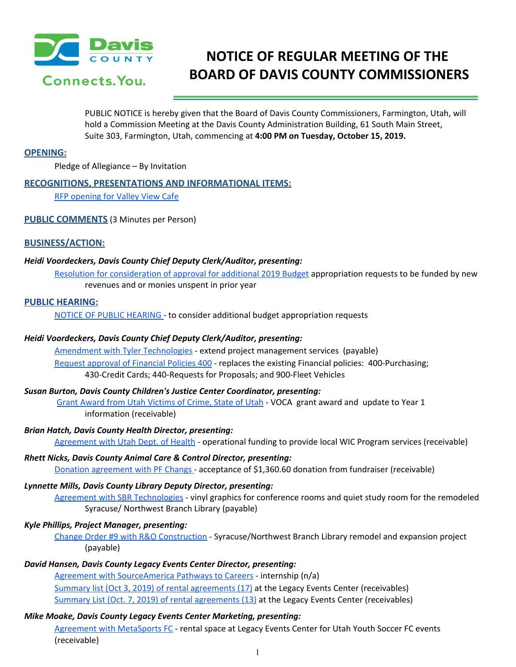

# **NOTICE OF REGULAR MEETING OF THE BOARD OF DAVIS COUNTY COMMISSIONERS**

PUBLIC NOTICE is hereby given that the Board of Davis County Commissioners, Farmington, Utah, will hold a Commission Meeting at the Davis County Administration Building, 61 South Main Street, Suite 303, Farmington, Utah, commencing at **4:00 PM on Tuesday, October 15, 2019.**

### **OPENING:**

Pledge of Allegiance – By Invitation

# **RECOGNITIONS, PRESENTATIONS AND INFORMATIONAL ITEMS:**

RFP [opening](https://drive.google.com/a/co.davis.ut.us/file/d/1otimyOGc5pCveH0zZVaoGf4tKRQeHWfS/view?usp=drivesdk) for Valley View Cafe

**PUBLIC COMMENTS** (3 Minutes per Person)

# **BUSINESS/ACTION:**

#### *Heidi Voordeckers, Davis County Chief Deputy Clerk/Auditor, presenting:*

Resolution for [consideration](https://drive.google.com/a/co.davis.ut.us/file/d/1SiRs2YEIhbVjEWUh9bhulI3nFpOGoXMZ/view?usp=drivesdk) of approval for additional 2019 Budget appropriation requests to be funded by new revenues and or monies unspent in prior year

#### **PUBLIC HEARING:**

NOTICE OF PUBLIC [HEARING](https://drive.google.com/a/co.davis.ut.us/file/d/1GCv5uwblHFtxDHzAa8Jpd3mnswbxWYRm/view?usp=drivesdk) - to consider additional budget appropriation requests

### *Heidi Voordeckers, Davis County Chief Deputy Clerk/Auditor, presenting:*

Amendment with Tyler [Technologies](https://drive.google.com/a/co.davis.ut.us/file/d/14pMskrGVMTJ7CN3f827XhN0n80qSlAxA/view?usp=drivesdk) - extend project management services (payable) Request approval of [Financial](https://drive.google.com/a/co.davis.ut.us/file/d/1IYU2SVM1mC1INMDTZKrfIQ3gV-CmuXrA/view?usp=drivesdk) Policies 400 - replaces the existing Financial policies: 400-Purchasing; 430-Credit Cards; 440-Requests for Proposals; and 900-Fleet Vehicles

#### *Susan Burton, Davis County Children's Justice Center Coordinator, presenting:*

Grant Award from Utah [Victims](https://drive.google.com/a/co.davis.ut.us/file/d/1doO58kwqsxjMscZO4G6LeoMD_kh_s_7f/view?usp=drivesdk) of Crime, State of Utah - VOCA grant award and update to Year 1 information (receivable)

#### *Brian Hatch, Davis County Health Director, presenting:*

[Agreement](https://drive.google.com/a/co.davis.ut.us/file/d/15HF0ezisZoFeY09b_BkPS16k2oqMRryk/view?usp=drivesdk) with Utah Dept. of Health - operational funding to provide local WIC Program services (receivable)

# *Rhett Nicks, Davis County Animal Care & Control Director, presenting:*

Donation [agreement](https://drive.google.com/a/co.davis.ut.us/file/d/1pUu3FzNv5C0utht3rXPeDa1uBkhiFdSH/view?usp=drivesdk) with PF Changs - acceptance of \$1,360.60 donation from fundraiser (receivable)

#### *Lynnette Mills, Davis County Library Deputy Director, presenting:*

Agreement with SBR [Technologies](https://drive.google.com/a/co.davis.ut.us/file/d/1YG727KX8lv5pYMqSMqop7jlHNiWUpPgi/view?usp=drivesdk) - vinyl graphics for conference rooms and quiet study room for the remodeled Syracuse/ Northwest Branch Library (payable)

#### *Kyle Phillips, Project Manager, presenting:*

Change Order #9 with R&O [Construction](https://drive.google.com/a/co.davis.ut.us/file/d/1xN6Y0fGV4sLS2cFeHBxIVH5OBMaWH-mE/view?usp=drivesdk) - Syracuse/Northwest Branch Library remodel and expansion project (payable)

# *David Hansen, Davis County Legacy Events Center Director, presenting:*

Agreement with [SourceAmerica](https://drive.google.com/a/co.davis.ut.us/file/d/1KM9kiIlZsB0Fcyz8SaFkn7PG9lqbajRj/view?usp=drivesdk) Pathways to Careers - internship (n/a) Summary list (Oct 3, 2019) of rental [agreements](https://drive.google.com/a/co.davis.ut.us/file/d/1oE0N4DuTvHBuW4l84BWT0V5oqW3HEkGu/view?usp=drivesdk) (17) at the Legacy Events Center (receivables) Summary List (Oct. 7, 2019) of rental [agreements](https://drive.google.com/a/co.davis.ut.us/file/d/1e65APHJwd-V9TN8b-YL60ULw9-sLVqc7/view?usp=drivesdk) (13) at the Legacy Events Center (receivables)

# *Mike Moake, Davis County Legacy Events Center Marketing, presenting:*

Agreement with [MetaSports](https://drive.google.com/a/co.davis.ut.us/file/d/17Bp9LQe_hViTwatNFszzp7SSGUpMGFbU/view?usp=drivesdk) FC - rental space at Legacy Events Center for Utah Youth Soccer FC events (receivable)